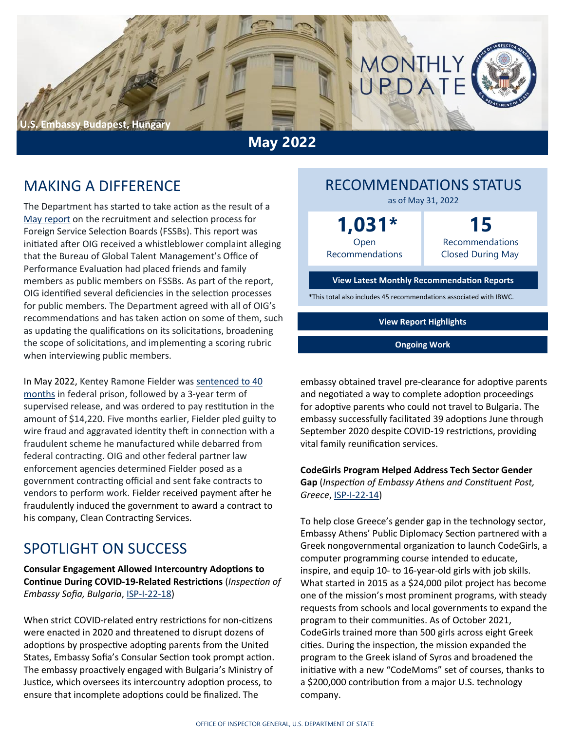

**May 2022**

### MAKING A DIFFERENCE

The Department has started to take action as the result of a [May report](https://www.stateoig.gov/system/files/esp-22-02_-_web_posting_508.pdf) on the recruitment and selection process for Foreign Service Selection Boards (FSSBs). This report was initiated after OIG received a whistleblower complaint alleging that the Bureau of Global Talent Management's Office of Performance Evaluation had placed friends and family members as public members on FSSBs. As part of the report, OIG identified several deficiencies in the selection processes for public members. The Department agreed with all of OIG's recommendations and has taken action on some of them, such as updating the qualifications on its solicitations, broadening the scope of solicitations, and implementing a scoring rubric when interviewing public members.

In May 2022, Kentey Ramone Fielder was [sentenced to 40](https://www.justice.gov/usao-edwa/pr/georgia-man-sentenced-40-months-federal-prison-defrauding-yakima-non-profit)  [months](https://www.justice.gov/usao-edwa/pr/georgia-man-sentenced-40-months-federal-prison-defrauding-yakima-non-profit) in federal prison, followed by a 3-year term of supervised release, and was ordered to pay restitution in the amount of \$14,220. Five months earlier, Fielder pled guilty to wire fraud and aggravated identity theft in connection with a fraudulent scheme he manufactured while debarred from federal contracting. OIG and other federal partner law enforcement agencies determined Fielder posed as a government contracting official and sent fake contracts to vendors to perform work. Fielder received payment after he fraudulently induced the government to award a contract to his company, Clean Contracting Services.

### SPOTLIGHT ON SUCCESS

**Consular Engagement Allowed Intercountry Adoptions to Continue During COVID-19-Related Restrictions** (*Inspection of Embassy Sofia, Bulgaria*, ISP-I-22-[18\)](https://www.stateoig.gov/system/files/isp-i-22-18_web_508.pdf)

When strict COVID-related entry restrictions for non-citizens were enacted in 2020 and threatened to disrupt dozens of adoptions by prospective adopting parents from the United States, Embassy Sofia's Consular Section took prompt action. The embassy proactively engaged with Bulgaria's Ministry of Justice, which oversees its intercountry adoption process, to ensure that incomplete adoptions could be finalized. The

### RECOMMENDATIONS STATUS as of May 31, 2022

**1,031\***

Open Recommendations

**15** Recommendations Closed During May

#### **[View Latest Monthly Recommendation Reports](https://www.stateoig.gov/recommendations)**

\*This total also includes 45 recommendations associated with IBWC.

**[View Report Highlights](https://www.stateoig.gov/report-highlights)**

**[Ongoing Work](https://www.stateoig.gov/11052)**

embassy obtained travel pre-clearance for adoptive parents and negotiated a way to complete adoption proceedings for adoptive parents who could not travel to Bulgaria. The embassy successfully facilitated 39 adoptions June through September 2020 despite COVID-19 restrictions, providing vital family reunification services.

### **CodeGirls Program Helped Address Tech Sector Gender**

**Gap** (*Inspection of Embassy Athens and Constituent Post, Greece*, ISP-I-22-[14\)](https://www.stateoig.gov/system/files/isp-i-22-14_-_web_posting_508.pdf)

To help close Greece's gender gap in the technology sector, Embassy Athens' Public Diplomacy Section partnered with a Greek nongovernmental organization to launch CodeGirls, a computer programming course intended to educate, inspire, and equip 10- to 16-year-old girls with job skills. What started in 2015 as a \$24,000 pilot project has become one of the mission's most prominent programs, with steady requests from schools and local governments to expand the program to their communities. As of October 2021, CodeGirls trained more than 500 girls across eight Greek cities. During the inspection, the mission expanded the program to the Greek island of Syros and broadened the initiative with a new "CodeMoms" set of courses, thanks to a \$200,000 contribution from a major U.S. technology company.